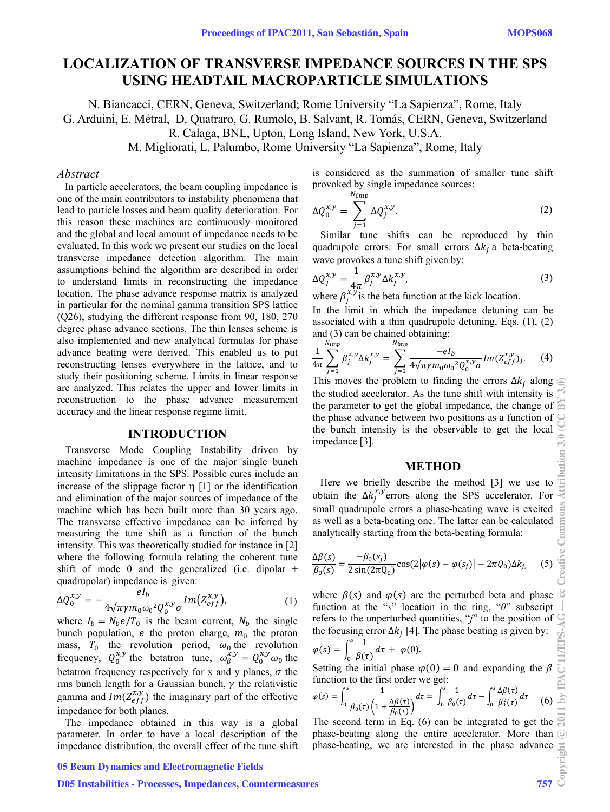# **LOCALIZATION OF TRANSVERSE IMPEDANCE SOURCES IN THE SPS USING HEADTAIL MACROPARTICLE SIMULATIONS**

N. Biancacci, CERN, Geneva, Switzerland; Rome University "La Sapienza", Rome, Italy G. Arduini, E. Métral, D. Quatraro, G. Rumolo, B. Salvant, R. Tomás, CERN, Geneva, Switzerland R. Calaga, BNL, Upton, Long Island, New York, U.S.A.

M. Migliorati, L. Palumbo, Rome University "La Sapienza", Rome, Italy

#### *Abstract*

In particle accelerators, the beam coupling impedance is one of the main contributors to instability phenomena that lead to particle losses and beam quality deterioration. For this reason these machines are continuously monitored and the global and local amount of impedance needs to be evaluated. In this work we present our studies on the local transverse impedance detection algorithm. The main assumptions behind the algorithm are described in order to understand limits in reconstructing the impedance location. The phase advance response matrix is analyzed in particular for the nominal gamma transition SPS lattice (Q26), studying the different response from 90, 180, 270 degree phase advance sections. The thin lenses scheme is also implemented and new analytical formulas for phase advance beating were derived. This enabled us to put reconstructing lenses everywhere in the lattice, and to study their positioning scheme. Limits in linear response are analyzed. This relates the upper and lower limits in reconstruction to the phase advance measurement accuracy and the linear response regime limit.

#### **INTRODUCTION**

 Transverse Mode Coupling Instability driven by machine impedance is one of the major single bunch intensity limitations in the SPS. Possible cures include an increase of the slippage factor  $\eta$  [1] or the identification and elimination of the major sources of impedance of the machine which has been built more than 30 years ago. The transverse effective impedance can be inferred by measuring the tune shift as a function of the bunch intensity. This was theoretically studied for instance in [2] where the following formula relating the coherent tune shift of mode 0 and the generalized (i.e. dipolar  $+$ quadrupolar) impedance is given:

$$
\Delta Q_0^{x,y} = -\frac{el_b}{4\sqrt{\pi}\gamma m_0 \omega_0^2 Q_0^{x,y} \sigma} Im(Z_{eff}^{x,y}), \qquad (1)
$$

where  $I_b = N_b e / T_0$  is the beam current,  $N_b$  the single bunch population, e the proton charge,  $m_0$  the proton mass,  $T_0$  the revolution period,  $\omega_0$  the revolution frequency,  $Q_0^{x,y}$  the betatron tune,  $\omega_\beta^{x,y} = Q_0^{x,y} \omega_0$  the betatron frequency respectively for x and y planes,  $\sigma$  the rms bunch length for a Gaussian bunch,  $\gamma$  the relativistic gamma and  $Im(Z_{eff}^{x,y})$  the imaginary part of the effective impedance for both planes.

 The impedance obtained in this way is a global parameter. In order to have a local description of the impedance distribution, the overall effect of the tune shift

# 05 Beam Dynamics and Electromagnetic Fields

# D05 Instabilities - Processes, Impedances, Countermeasures 757

is considered as the summation of smaller tune shift provoked by single impedance sources:

$$
\Delta Q_0^{x,y} = \sum_{j=1}^{N_{imp}} \Delta Q_j^{x,y}.
$$
 (2)

 Similar tune shifts can be reproduced by thin quadrupole errors. For small errors  $\Delta k_i$  a beta-beating wave provokes a tune shift given by:

$$
\Delta Q_j^{x,y} = \frac{1}{4\pi} \beta_j^{x,y} \Delta k_j^{x,y},\tag{3}
$$

where  $\beta_j^{x,y}$  is the beta function at the kick location.

In the limit in which the impedance detuning can be associated with a thin quadrupole detuning, Eqs. (1), (2) and (3) can be chained obtaining:

$$
\frac{1}{4\pi} \sum_{j=1}^{N_{imp}} \beta_j^{x,y} \Delta k_j^{x,y} = \sum_{j=1}^{N_{imp}} \frac{-eI_b}{4\sqrt{\pi}\gamma m_0 \omega_0^2 Q_0^{x,y} \sigma} Im(Z_{eff}^{x,y}). \tag{4}
$$

This moves the problem to finding the errors  $\Delta k_i$  along  $\subseteq$ the studied accelerator. As the tune shift with intensity is the parameter to get the global impedance, the change of the phase advance between two positions as a function of the bunch intensity is the observable to get the local impedance [3].

# **METHOD**

 Here we briefly describe the method [3] we use to obtain the  $\Delta k_j^{x,y}$  errors along the SPS accelerator. For small quadrupole errors a phase-beating wave is excited as well as a beta-beating one. The latter can be calculated analytically starting from the beta-beating formula:

$$
\frac{\Delta \beta(s)}{\beta_0(s)} = \frac{-\beta_0(s_j)}{2\sin(2\pi Q_0)} \cos(2|\varphi(s) - \varphi(s_j)| - 2\pi Q_0) \Delta k_j, \quad (5)
$$

where  $\beta(s)$  and  $\varphi(s)$  are the perturbed beta and phase function at the "*s*" location in the ring, "*0*" subscript refers to the unperturbed quantities, "*j*" to the position of the focusing error  $\Delta k_i$  [4]. The phase beating is given by:

$$
\varphi(s) = \int_0^s \frac{1}{\beta(\tau)} d\tau + \varphi(0).
$$

Setting the initial phase  $\varphi(0) = 0$  and expanding the  $\beta$ function to the first order we get:

$$
\varphi(s) = \int_0^s \frac{1}{\beta_0(\tau) \left(1 + \frac{\Delta \beta(\tau)}{\beta_0(\tau)}\right)} d\tau = \int_0^s \frac{1}{\beta_0(\tau)} d\tau - \int_0^s \frac{\Delta \beta(\tau)}{\beta_0^2(\tau)} d\tau \tag{6}
$$

The second term in Eq. (6) can be integrated to get the phase-beating along the entire accelerator. More than  $\odot$ phase-beating, we are interested in the phase advance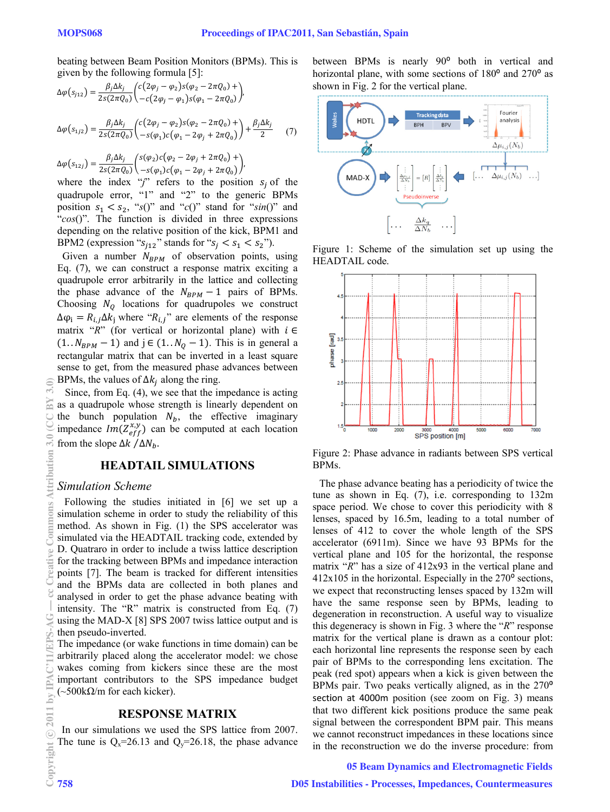$(7)$ 

beating between Beam Position Monitors (BPMs). This is given by the following formula [5]:

$$
\Delta \varphi (s_{j12}) = \frac{\beta_j \Delta k_j}{2s(2\pi Q_0)} \left( \frac{c(2\varphi_j - \varphi_2)s(\varphi_2 - 2\pi Q_0)}{-c(2\varphi_j - \varphi_1)s(\varphi_1 - 2\pi Q_0)} \right),
$$
  

$$
\Delta \varphi (s_{1j2}) = \frac{\beta_j \Delta k_j}{2s(2\pi Q_0)} \left( \frac{c(2\varphi_j - \varphi_2)s(\varphi_2 - 2\pi Q_0)}{-s(\varphi_1)c(\varphi_1 - 2\varphi_1 + 2\pi Q_0)} \right) + \frac{\beta_j \Delta k_j}{2} \qquad (1)
$$

$$
\Delta \varphi(s_{12j}) = \frac{\beta_j \Delta k_j}{2s(2\pi Q_0)} \left( \frac{s(\varphi_2)c(\varphi_2 - 2\varphi_j + 2\pi Q_0) +}{-s(\varphi_1)c(\varphi_1 - 2\varphi_j + 2\pi Q_0)} \right),
$$

where the index "j" refers to the position  $s_j$  of the quadrupole error, "1" and "2" to the generic BPMs position  $s_1 < s_2$ , "s()" and "c()" stand for "sin()" and "cos()". The function is divided in three expressions depending on the relative position of the kick, BPM1 and BPM2 (expression " $s_{i12}$ " stands for " $s_i < s_1 < s_2$ ").

Given a number  $N_{BPM}$  of observation points, using Eq.  $(7)$ , we can construct a response matrix exciting a quadrupole error arbitrarily in the lattice and collecting the phase advance of the  $N_{BPM} - 1$  pairs of BPMs. Choosing  $N_0$  locations for quadrupoles we construct  $\Delta \varphi_i = R_{i,j} \Delta k_i$  where " $R_{i,j}$ " are elements of the response matrix "R" (for vertical or horizontal plane) with  $i \in$  $(1..N_{BPM}-1)$  and  $j \in (1..N_Q-1)$ . This is in general a rectangular matrix that can be inverted in a least square sense to get, from the measured phase advances between BPMs, the values of  $\Delta k_i$  along the ring.

Since, from Eq.  $(4)$ , we see that the impedance is acting as a quadrupole whose strength is linearly dependent on the bunch population  $N_b$ , the effective imaginary impedance  $Im(Z_{eff}^{x,y})$  can be computed at each location from the slope  $\Delta k$  / $\Delta N_h$ .

# **HEADTAIL SIMULATIONS**

# **Simulation Scheme**

Following the studies initiated in [6] we set up a simulation scheme in order to study the reliability of this method. As shown in Fig. (1) the SPS accelerator was simulated via the HEADTAIL tracking code, extended by D. Quatraro in order to include a twiss lattice description for the tracking between BPMs and impedance interaction points [7]. The beam is tracked for different intensities and the BPMs data are collected in both planes and analysed in order to get the phase advance beating with intensity. The "R" matrix is constructed from Eq. (7) using the MAD-X [8] SPS 2007 twiss lattice output and is then pseudo-inverted.

The impedance (or wake functions in time domain) can be arbitrarily placed along the accelerator model: we chose wakes coming from kickers since these are the most important contributors to the SPS impedance budget  $(\sim 500 \text{k}\Omega/m$  for each kicker).

# **RESPONSE MATRIX**

In our simulations we used the SPS lattice from 2007. The tune is  $Q_x=26.13$  and  $Q_y=26.18$ , the phase advance between BPMs is nearly 90° both in vertical and horizontal plane, with some sections of 180<sup>o</sup> and 270<sup>o</sup> as shown in Fig. 2 for the vertical plane.



Figure 1: Scheme of the simulation set up using the HEADTAIL code.



Figure 2: Phase advance in radiants between SPS vertical BPMs.

The phase advance beating has a periodicity of twice the tune as shown in Eq.  $(7)$ , i.e. corresponding to 132m space period. We chose to cover this periodicity with 8 lenses, spaced by 16.5m, leading to a total number of lenses of 412 to cover the whole length of the SPS accelerator (6911m). Since we have 93 BPMs for the vertical plane and 105 for the horizontal, the response matrix " $R$ " has a size of 412x93 in the vertical plane and  $412x105$  in the horizontal. Especially in the  $270^{\circ}$  sections, we expect that reconstructing lenses spaced by 132m will have the same response seen by BPMs, leading to degeneration in reconstruction. A useful way to visualize this degeneracy is shown in Fig. 3 where the " $R$ " response matrix for the vertical plane is drawn as a contour plot: each horizontal line represents the response seen by each pair of BPMs to the corresponding lens excitation. The peak (red spot) appears when a kick is given between the BPMs pair. Two peaks vertically aligned, as in the 270<sup>o</sup> section at 4000m position (see zoom on Fig. 3) means that two different kick positions produce the same peak signal between the correspondent BPM pair. This means we cannot reconstruct impedances in these locations since in the reconstruction we do the inverse procedure: from

#### **05 Beam Dynamics and Electromagnetic Fields**